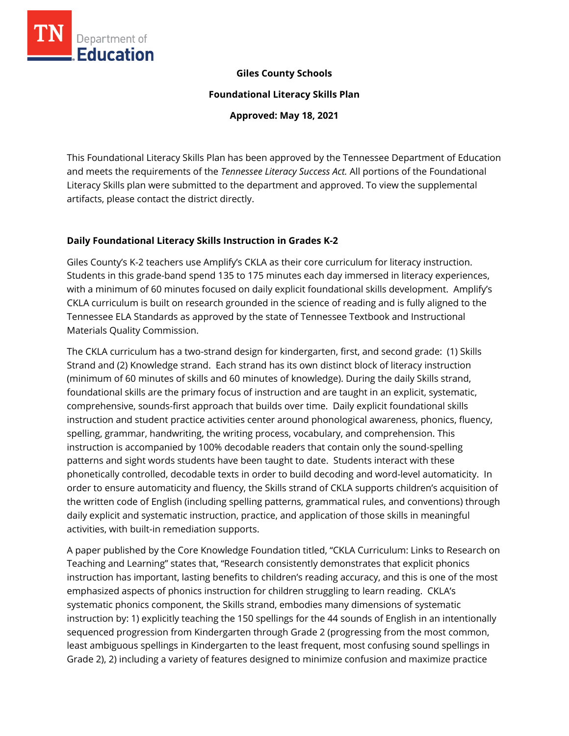

#### **Giles County Schools**

**Foundational Literacy Skills Plan**

**Approved: May 18, 2021**

This Foundational Literacy Skills Plan has been approved by the Tennessee Department of Education and meets the requirements of the *Tennessee Literacy Success Act.* All portions of the Foundational Literacy Skills plan were submitted to the department and approved. To view the supplemental artifacts, please contact the district directly.

#### **Daily Foundational Literacy Skills Instruction in Grades K-2**

Giles County's K-2 teachers use Amplify's CKLA as their core curriculum for literacy instruction. Students in this grade-band spend 135 to 175 minutes each day immersed in literacy experiences, with a minimum of 60 minutes focused on daily explicit foundational skills development. Amplify's CKLA curriculum is built on research grounded in the science of reading and is fully aligned to the Tennessee ELA Standards as approved by the state of Tennessee Textbook and Instructional Materials Quality Commission.

The CKLA curriculum has a two-strand design for kindergarten, first, and second grade: (1) Skills Strand and (2) Knowledge strand. Each strand has its own distinct block of literacy instruction (minimum of 60 minutes of skills and 60 minutes of knowledge). During the daily Skills strand, foundational skills are the primary focus of instruction and are taught in an explicit, systematic, comprehensive, sounds-first approach that builds over time. Daily explicit foundational skills instruction and student practice activities center around phonological awareness, phonics, fluency, spelling, grammar, handwriting, the writing process, vocabulary, and comprehension. This instruction is accompanied by 100% decodable readers that contain only the sound-spelling patterns and sight words students have been taught to date. Students interact with these phonetically controlled, decodable texts in order to build decoding and word-level automaticity. In order to ensure automaticity and fluency, the Skills strand of CKLA supports children's acquisition of the written code of English (including spelling patterns, grammatical rules, and conventions) through daily explicit and systematic instruction, practice, and application of those skills in meaningful activities, with built-in remediation supports.

A paper published by the Core Knowledge Foundation titled, "CKLA Curriculum: Links to Research on Teaching and Learning" states that, "Research consistently demonstrates that explicit phonics instruction has important, lasting benefits to children's reading accuracy, and this is one of the most emphasized aspects of phonics instruction for children struggling to learn reading. CKLA's systematic phonics component, the Skills strand, embodies many dimensions of systematic instruction by: 1) explicitly teaching the 150 spellings for the 44 sounds of English in an intentionally sequenced progression from Kindergarten through Grade 2 (progressing from the most common, least ambiguous spellings in Kindergarten to the least frequent, most confusing sound spellings in Grade 2), 2) including a variety of features designed to minimize confusion and maximize practice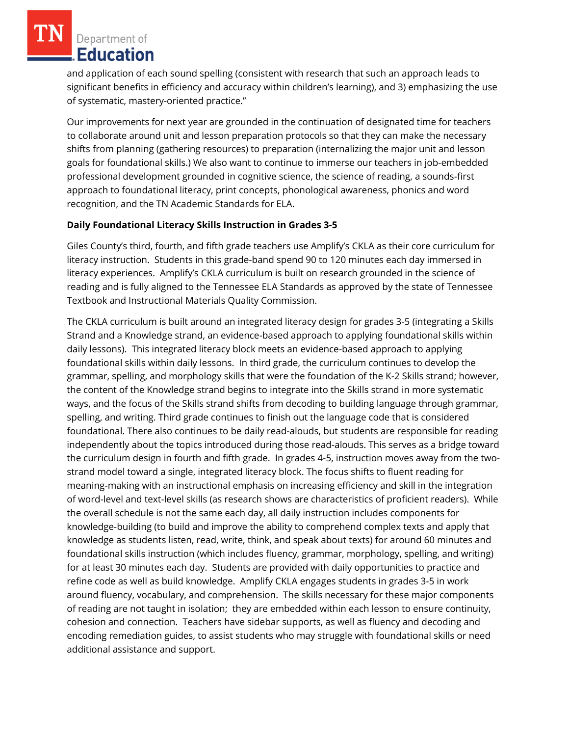and application of each sound spelling (consistent with research that such an approach leads to significant benefits in efficiency and accuracy within children's learning), and 3) emphasizing the use of systematic, mastery-oriented practice."

Our improvements for next year are grounded in the continuation of designated time for teachers to collaborate around unit and lesson preparation protocols so that they can make the necessary shifts from planning (gathering resources) to preparation (internalizing the major unit and lesson goals for foundational skills.) We also want to continue to immerse our teachers in job-embedded professional development grounded in cognitive science, the science of reading, a sounds-first approach to foundational literacy, print concepts, phonological awareness, phonics and word recognition, and the TN Academic Standards for ELA.

#### **Daily Foundational Literacy Skills Instruction in Grades 3-5**

Giles County's third, fourth, and fifth grade teachers use Amplify's CKLA as their core curriculum for literacy instruction. Students in this grade-band spend 90 to 120 minutes each day immersed in literacy experiences. Amplify's CKLA curriculum is built on research grounded in the science of reading and is fully aligned to the Tennessee ELA Standards as approved by the state of Tennessee Textbook and Instructional Materials Quality Commission.

The CKLA curriculum is built around an integrated literacy design for grades 3-5 (integrating a Skills Strand and a Knowledge strand, an evidence-based approach to applying foundational skills within daily lessons). This integrated literacy block meets an evidence-based approach to applying foundational skills within daily lessons. In third grade, the curriculum continues to develop the grammar, spelling, and morphology skills that were the foundation of the K-2 Skills strand; however, the content of the Knowledge strand begins to integrate into the Skills strand in more systematic ways, and the focus of the Skills strand shifts from decoding to building language through grammar, spelling, and writing. Third grade continues to finish out the language code that is considered foundational. There also continues to be daily read-alouds, but students are responsible for reading independently about the topics introduced during those read-alouds. This serves as a bridge toward the curriculum design in fourth and fifth grade. In grades 4-5, instruction moves away from the twostrand model toward a single, integrated literacy block. The focus shifts to fluent reading for meaning-making with an instructional emphasis on increasing efficiency and skill in the integration of word-level and text-level skills (as research shows are characteristics of proficient readers). While the overall schedule is not the same each day, all daily instruction includes components for knowledge-building (to build and improve the ability to comprehend complex texts and apply that knowledge as students listen, read, write, think, and speak about texts) for around 60 minutes and foundational skills instruction (which includes fluency, grammar, morphology, spelling, and writing) for at least 30 minutes each day. Students are provided with daily opportunities to practice and refine code as well as build knowledge. Amplify CKLA engages students in grades 3-5 in work around fluency, vocabulary, and comprehension. The skills necessary for these major components of reading are not taught in isolation; they are embedded within each lesson to ensure continuity, cohesion and connection. Teachers have sidebar supports, as well as fluency and decoding and encoding remediation guides, to assist students who may struggle with foundational skills or need additional assistance and support.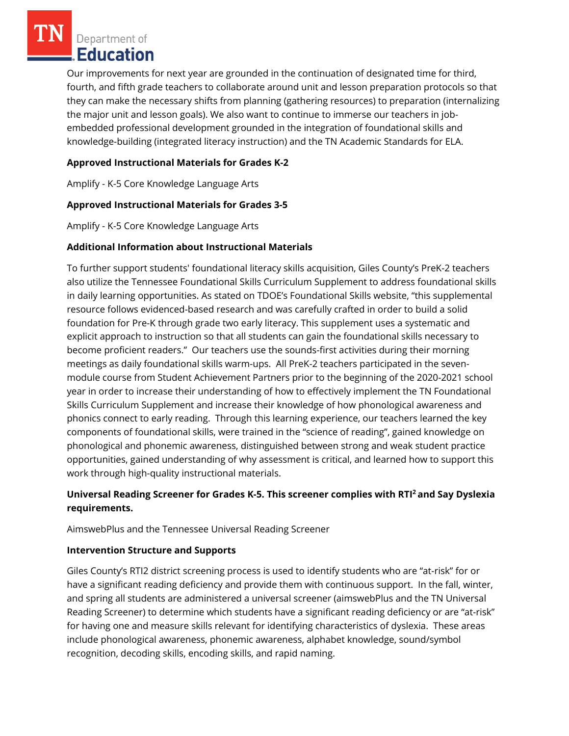Our improvements for next year are grounded in the continuation of designated time for third, fourth, and fifth grade teachers to collaborate around unit and lesson preparation protocols so that they can make the necessary shifts from planning (gathering resources) to preparation (internalizing the major unit and lesson goals). We also want to continue to immerse our teachers in jobembedded professional development grounded in the integration of foundational skills and knowledge-building (integrated literacy instruction) and the TN Academic Standards for ELA.

## **Approved Instructional Materials for Grades K-2**

Amplify - K-5 Core Knowledge Language Arts

# **Approved Instructional Materials for Grades 3-5**

Amplify - K-5 Core Knowledge Language Arts

### **Additional Information about Instructional Materials**

To further support students' foundational literacy skills acquisition, Giles County's PreK-2 teachers also utilize the Tennessee Foundational Skills Curriculum Supplement to address foundational skills in daily learning opportunities. As stated on TDOE's Foundational Skills website, "this supplemental resource follows evidenced-based research and was carefully crafted in order to build a solid foundation for Pre-K through grade two early literacy. This supplement uses a systematic and explicit approach to instruction so that all students can gain the foundational skills necessary to become proficient readers." Our teachers use the sounds-first activities during their morning meetings as daily foundational skills warm-ups. All PreK-2 teachers participated in the sevenmodule course from Student Achievement Partners prior to the beginning of the 2020-2021 school year in order to increase their understanding of how to effectively implement the TN Foundational Skills Curriculum Supplement and increase their knowledge of how phonological awareness and phonics connect to early reading. Through this learning experience, our teachers learned the key components of foundational skills, were trained in the "science of reading", gained knowledge on phonological and phonemic awareness, distinguished between strong and weak student practice opportunities, gained understanding of why assessment is critical, and learned how to support this work through high-quality instructional materials.

# **Universal Reading Screener for Grades K-5. This screener complies with RTI<sup>2</sup>and Say Dyslexia requirements.**

AimswebPlus and the Tennessee Universal Reading Screener

### **Intervention Structure and Supports**

Giles County's RTI2 district screening process is used to identify students who are "at-risk" for or have a significant reading deficiency and provide them with continuous support. In the fall, winter, and spring all students are administered a universal screener (aimswebPlus and the TN Universal Reading Screener) to determine which students have a significant reading deficiency or are "at-risk" for having one and measure skills relevant for identifying characteristics of dyslexia. These areas include phonological awareness, phonemic awareness, alphabet knowledge, sound/symbol recognition, decoding skills, encoding skills, and rapid naming.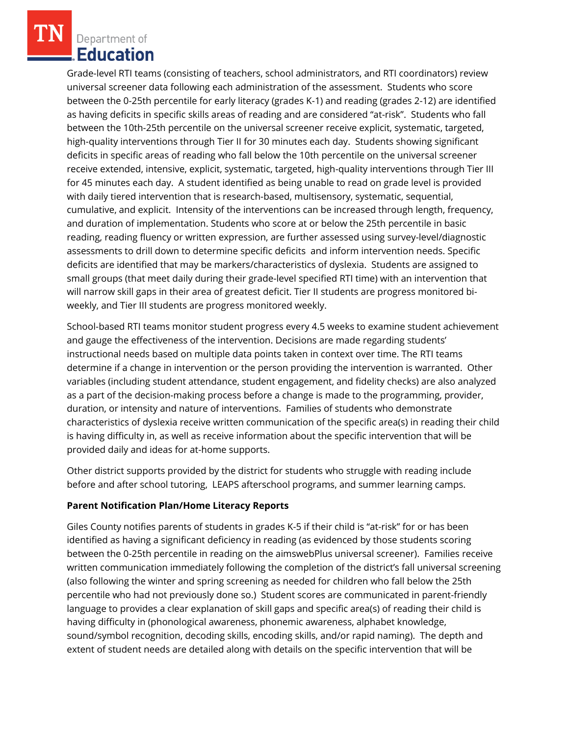Grade-level RTI teams (consisting of teachers, school administrators, and RTI coordinators) review universal screener data following each administration of the assessment. Students who score between the 0-25th percentile for early literacy (grades K-1) and reading (grades 2-12) are identified as having deficits in specific skills areas of reading and are considered "at-risk". Students who fall between the 10th-25th percentile on the universal screener receive explicit, systematic, targeted, high-quality interventions through Tier II for 30 minutes each day. Students showing significant deficits in specific areas of reading who fall below the 10th percentile on the universal screener receive extended, intensive, explicit, systematic, targeted, high-quality interventions through Tier III for 45 minutes each day. A student identified as being unable to read on grade level is provided with daily tiered intervention that is research-based, multisensory, systematic, sequential, cumulative, and explicit. Intensity of the interventions can be increased through length, frequency, and duration of implementation. Students who score at or below the 25th percentile in basic reading, reading fluency or written expression, are further assessed using survey-level/diagnostic assessments to drill down to determine specific deficits and inform intervention needs. Specific deficits are identified that may be markers/characteristics of dyslexia. Students are assigned to small groups (that meet daily during their grade-level specified RTI time) with an intervention that will narrow skill gaps in their area of greatest deficit. Tier II students are progress monitored biweekly, and Tier III students are progress monitored weekly.

School-based RTI teams monitor student progress every 4.5 weeks to examine student achievement and gauge the effectiveness of the intervention. Decisions are made regarding students' instructional needs based on multiple data points taken in context over time. The RTI teams determine if a change in intervention or the person providing the intervention is warranted. Other variables (including student attendance, student engagement, and fidelity checks) are also analyzed as a part of the decision-making process before a change is made to the programming, provider, duration, or intensity and nature of interventions. Families of students who demonstrate characteristics of dyslexia receive written communication of the specific area(s) in reading their child is having difficulty in, as well as receive information about the specific intervention that will be provided daily and ideas for at-home supports.

Other district supports provided by the district for students who struggle with reading include before and after school tutoring, LEAPS afterschool programs, and summer learning camps.

#### **Parent Notification Plan/Home Literacy Reports**

Giles County notifies parents of students in grades K-5 if their child is "at-risk" for or has been identified as having a significant deficiency in reading (as evidenced by those students scoring between the 0-25th percentile in reading on the aimswebPlus universal screener). Families receive written communication immediately following the completion of the district's fall universal screening (also following the winter and spring screening as needed for children who fall below the 25th percentile who had not previously done so.) Student scores are communicated in parent-friendly language to provides a clear explanation of skill gaps and specific area(s) of reading their child is having difficulty in (phonological awareness, phonemic awareness, alphabet knowledge, sound/symbol recognition, decoding skills, encoding skills, and/or rapid naming). The depth and extent of student needs are detailed along with details on the specific intervention that will be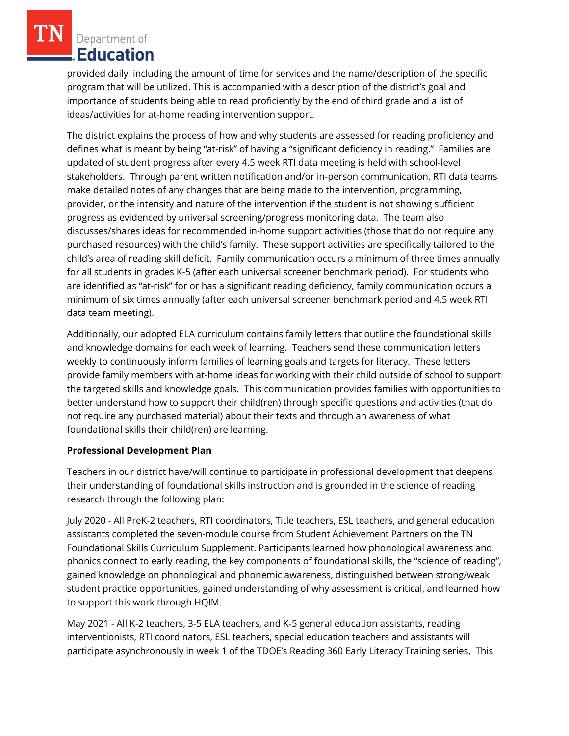provided daily, including the amount of time for services and the name/description of the specific program that will be utilized. This is accompanied with a description of the district's goal and importance of students being able to read proficiently by the end of third grade and a list of ideas/activities for at-home reading intervention support.

The district explains the process of how and why students are assessed for reading proficiency and defines what is meant by being "at-risk" of having a "significant deficiency in reading." Families are updated of student progress after every 4.5 week RTI data meeting is held with school-level stakeholders. Through parent written notification and/or in-person communication, RTI data teams make detailed notes of any changes that are being made to the intervention, programming, provider, or the intensity and nature of the intervention if the student is not showing sufficient progress as evidenced by universal screening/progress monitoring data. The team also discusses/shares ideas for recommended in-home support activities (those that do not require any purchased resources) with the child's family. These support activities are specifically tailored to the child's area of reading skill deficit. Family communication occurs a minimum of three times annually for all students in grades K-5 (after each universal screener benchmark period). For students who are identified as "at-risk" for or has a significant reading deficiency, family communication occurs a minimum of six times annually (after each universal screener benchmark period and 4.5 week RTI data team meeting).

Additionally, our adopted ELA curriculum contains family letters that outline the foundational skills and knowledge domains for each week of learning. Teachers send these communication letters weekly to continuously inform families of learning goals and targets for literacy. These letters provide family members with at-home ideas for working with their child outside of school to support the targeted skills and knowledge goals. This communication provides families with opportunities to better understand how to support their child(ren) through specific questions and activities (that do not require any purchased material) about their texts and through an awareness of what foundational skills their child(ren) are learning.

### **Professional Development Plan**

Teachers in our district have/will continue to participate in professional development that deepens their understanding of foundational skills instruction and is grounded in the science of reading research through the following plan:

July 2020 - All PreK-2 teachers, RTI coordinators, Title teachers, ESL teachers, and general education assistants completed the seven-module course from Student Achievement Partners on the TN Foundational Skills Curriculum Supplement. Participants learned how phonological awareness and phonics connect to early reading, the key components of foundational skills, the "science of reading", gained knowledge on phonological and phonemic awareness, distinguished between strong/weak student practice opportunities, gained understanding of why assessment is critical, and learned how to support this work through HQIM.

May 2021 - All K-2 teachers, 3-5 ELA teachers, and K-5 general education assistants, reading interventionists, RTI coordinators, ESL teachers, special education teachers and assistants will participate asynchronously in week 1 of the TDOE's Reading 360 Early Literacy Training series. This